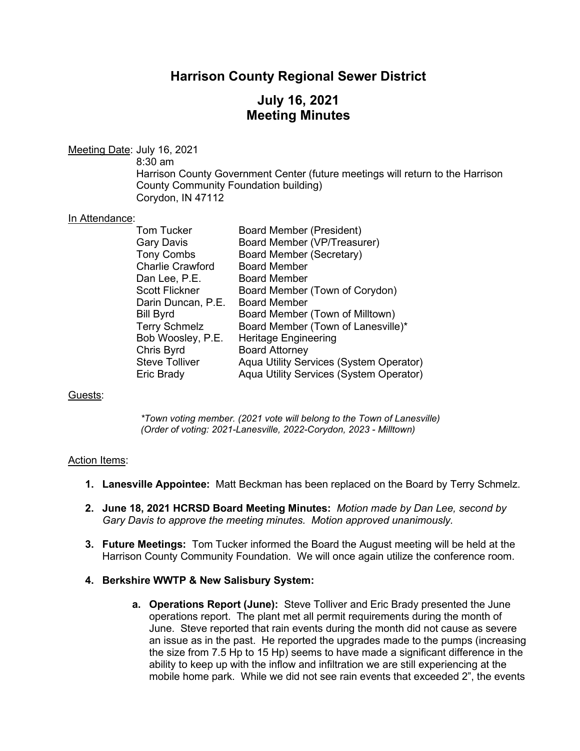## **Harrison County Regional Sewer District**

# **July 16, 2021 Meeting Minutes**

Meeting Date: July 16, 2021

8:30 am

Harrison County Government Center (future meetings will return to the Harrison County Community Foundation building) Corydon, IN 47112

### In Attendance:

| Tom Tucker              | <b>Board Member (President)</b>         |
|-------------------------|-----------------------------------------|
| Gary Davis              | Board Member (VP/Treasurer)             |
| <b>Tony Combs</b>       | <b>Board Member (Secretary)</b>         |
| <b>Charlie Crawford</b> | <b>Board Member</b>                     |
| Dan Lee, P.E.           | <b>Board Member</b>                     |
| Scott Flickner          | Board Member (Town of Corydon)          |
| Darin Duncan, P.E.      | <b>Board Member</b>                     |
| Bill Byrd               | Board Member (Town of Milltown)         |
| <b>Terry Schmelz</b>    | Board Member (Town of Lanesville)*      |
| Bob Woosley, P.E.       | <b>Heritage Engineering</b>             |
| Chris Byrd              | <b>Board Attorney</b>                   |
| <b>Steve Tolliver</b>   | Aqua Utility Services (System Operator) |
| Eric Brady              | Aqua Utility Services (System Operator) |
|                         |                                         |

## Guests:

*\*Town voting member. (2021 vote will belong to the Town of Lanesville) (Order of voting: 2021-Lanesville, 2022-Corydon, 2023 - Milltown)*

#### Action Items:

- **1. Lanesville Appointee:** Matt Beckman has been replaced on the Board by Terry Schmelz.
- **2. June 18, 2021 HCRSD Board Meeting Minutes:** *Motion made by Dan Lee, second by Gary Davis to approve the meeting minutes. Motion approved unanimously.*
- **3. Future Meetings:** Tom Tucker informed the Board the August meeting will be held at the Harrison County Community Foundation. We will once again utilize the conference room.

#### **4. Berkshire WWTP & New Salisbury System:**

**a. Operations Report (June):** Steve Tolliver and Eric Brady presented the June operations report. The plant met all permit requirements during the month of June. Steve reported that rain events during the month did not cause as severe an issue as in the past. He reported the upgrades made to the pumps (increasing the size from 7.5 Hp to 15 Hp) seems to have made a significant difference in the ability to keep up with the inflow and infiltration we are still experiencing at the mobile home park. While we did not see rain events that exceeded 2", the events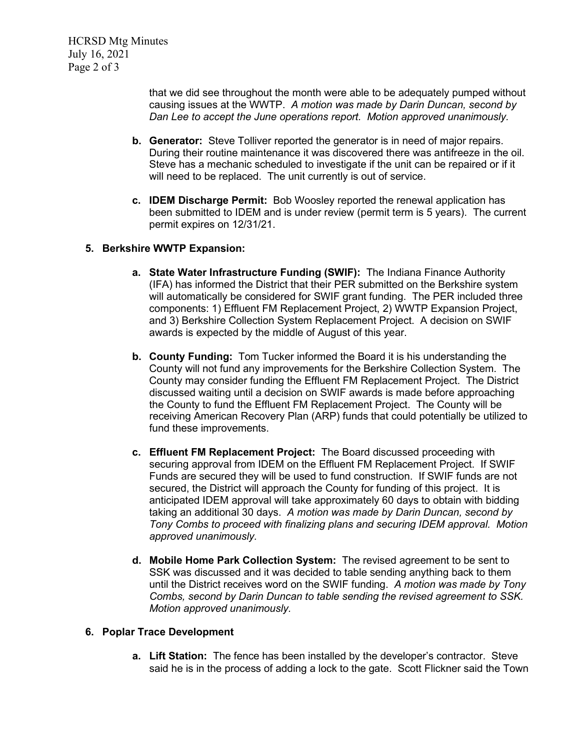HCRSD Mtg Minutes July 16, 2021 Page 2 of 3

> that we did see throughout the month were able to be adequately pumped without causing issues at the WWTP. *A motion was made by Darin Duncan, second by Dan Lee to accept the June operations report. Motion approved unanimously.*

- **b. Generator:** Steve Tolliver reported the generator is in need of major repairs. During their routine maintenance it was discovered there was antifreeze in the oil. Steve has a mechanic scheduled to investigate if the unit can be repaired or if it will need to be replaced. The unit currently is out of service.
- **c. IDEM Discharge Permit:** Bob Woosley reported the renewal application has been submitted to IDEM and is under review (permit term is 5 years). The current permit expires on 12/31/21.

## **5. Berkshire WWTP Expansion:**

- **a. State Water Infrastructure Funding (SWIF):** The Indiana Finance Authority (IFA) has informed the District that their PER submitted on the Berkshire system will automatically be considered for SWIF grant funding. The PER included three components: 1) Effluent FM Replacement Project, 2) WWTP Expansion Project, and 3) Berkshire Collection System Replacement Project. A decision on SWIF awards is expected by the middle of August of this year.
- **b. County Funding:** Tom Tucker informed the Board it is his understanding the County will not fund any improvements for the Berkshire Collection System. The County may consider funding the Effluent FM Replacement Project. The District discussed waiting until a decision on SWIF awards is made before approaching the County to fund the Effluent FM Replacement Project. The County will be receiving American Recovery Plan (ARP) funds that could potentially be utilized to fund these improvements.
- **c. Effluent FM Replacement Project:** The Board discussed proceeding with securing approval from IDEM on the Effluent FM Replacement Project. If SWIF Funds are secured they will be used to fund construction. If SWIF funds are not secured, the District will approach the County for funding of this project. It is anticipated IDEM approval will take approximately 60 days to obtain with bidding taking an additional 30 days. *A motion was made by Darin Duncan, second by Tony Combs to proceed with finalizing plans and securing IDEM approval. Motion approved unanimously.*
- **d. Mobile Home Park Collection System:** The revised agreement to be sent to SSK was discussed and it was decided to table sending anything back to them until the District receives word on the SWIF funding. *A motion was made by Tony Combs, second by Darin Duncan to table sending the revised agreement to SSK. Motion approved unanimously.*

### **6. Poplar Trace Development**

**a. Lift Station:** The fence has been installed by the developer's contractor. Steve said he is in the process of adding a lock to the gate. Scott Flickner said the Town